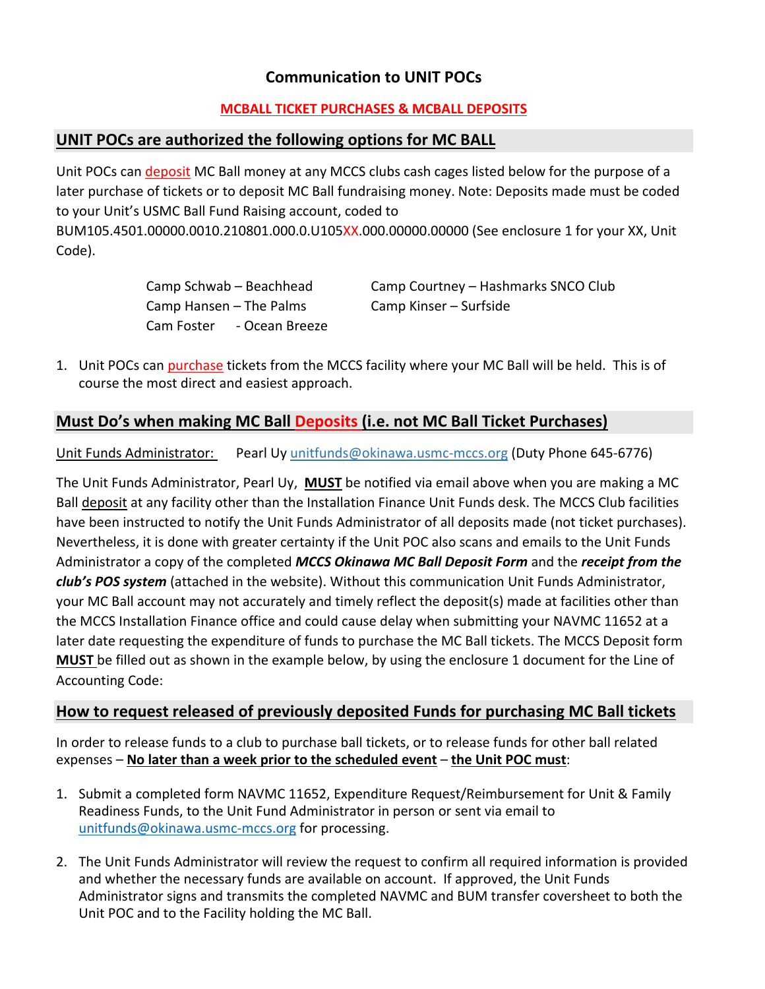# **Communication to UNIT POCs**

#### **MCBALL TICKET PURCHASES & MCBALL DEPOSITS**

### **UNIT POCs are authorized the following options for MC BALL**

Unit POCs can deposit MC Ball money at any MCCS clubs cash cages listed below for the purpose of a later purchase of tickets or to deposit MC Ball fundraising money. Note: Deposits made must be coded to your Unit's USMC Ball Fund Raising account, coded to

BUM105.4501.00000.0010.210801.000.0.U105XX.000.00000.00000 (See enclosure 1 for your XX, Unit Code).

> Camp Hansen – The Palms Camp Kinser – Surfside Cam Foster - Ocean Breeze

Camp Schwab – Beachhead Camp Courtney – Hashmarks SNCO Club

1. Unit POCs can purchase tickets from the MCCS facility where your MC Ball will be held. This is of course the most direct and easiest approach.

# **Must Do's when making MC Ball Deposits (i.e. not MC Ball Ticket Purchases)**

Unit Funds Administrator: Pearl Uy unitfunds@okinawa.usmc-mccs.org (Duty Phone 645-6776)

The Unit Funds Administrator, Pearl Uy, **MUST** be notified via email above when you are making a MC Ball deposit at any facility other than the Installation Finance Unit Funds desk. The MCCS Club facilities have been instructed to notify the Unit Funds Administrator of all deposits made (not ticket purchases). Nevertheless, it is done with greater certainty if the Unit POC also scans and emails to the Unit Funds Administrator a copy of the completed *MCCS Okinawa MC Ball Deposit Form* and the *receipt from the club's POS system* (attached in the website). Without this communication Unit Funds Administrator, your MC Ball account may not accurately and timely reflect the deposit(s) made at facilities other than the MCCS Installation Finance office and could cause delay when submitting your NAVMC 11652 at a later date requesting the expenditure of funds to purchase the MC Ball tickets. The MCCS Deposit form **MUST** be filled out as shown in the example below, by using the enclosure 1 document for the Line of Accounting Code:

## **How to request released of previously deposited Funds for purchasing MC Ball tickets**

In order to release funds to a club to purchase ball tickets, or to release funds for other ball related expenses – **No later than a week prior to the scheduled event** – **the Unit POC must**:

- 1. Submit a completed form NAVMC 11652, Expenditure Request/Reimbursement for Unit & Family Readiness Funds, to the Unit Fund Administrator in person or sent via email to unitfunds@okinawa.usmc-mccs.org for processing.
- 2. The Unit Funds Administrator will review the request to confirm all required information is provided and whether the necessary funds are available on account. If approved, the Unit Funds Administrator signs and transmits the completed NAVMC and BUM transfer coversheet to both the Unit POC and to the Facility holding the MC Ball.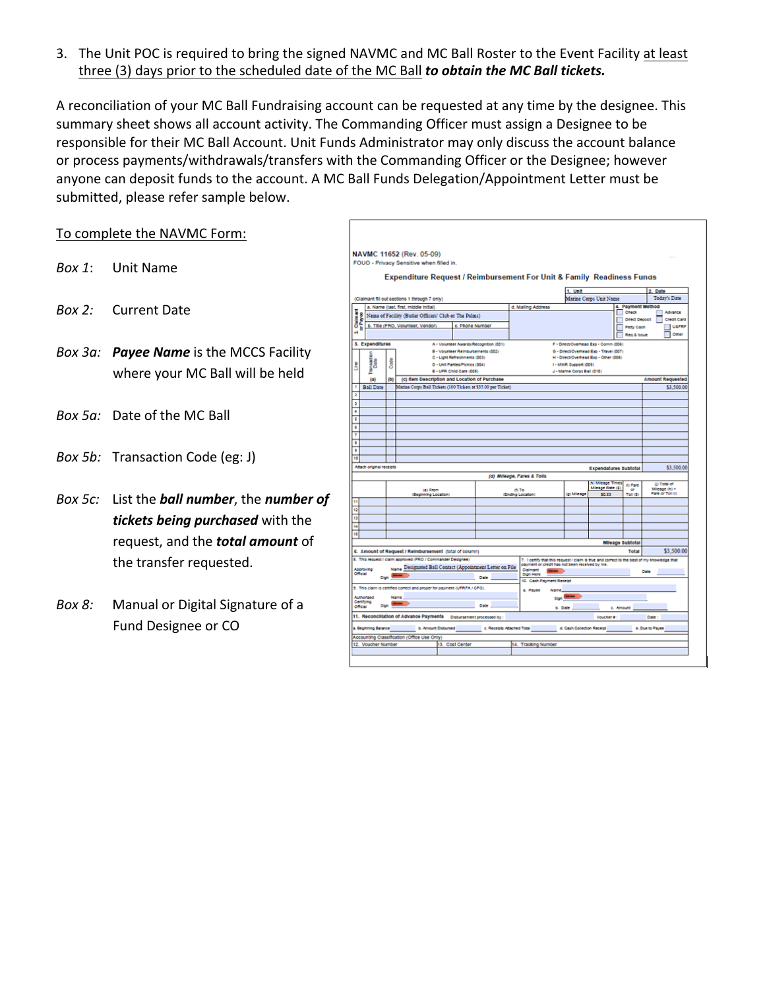3. The Unit POC is required to bring the signed NAVMC and MC Ball Roster to the Event Facility at least three (3) days prior to the scheduled date of the MC Ball *to obtain the MC Ball tickets.*

A reconciliation of your MC Ball Fundraising account can be requested at any time by the designee. This summary sheet shows all account activity. The Commanding Officer must assign a Designee to be responsible for their MC Ball Account. Unit Funds Administrator may only discuss the account balance or process payments/withdrawals/transfers with the Commanding Officer or the Designee; however anyone can deposit funds to the account. A MC Ball Funds Delegation/Appointment Letter must be submitted, please refer sample below.

#### To complete the NAVMC Form:

- *Box 1*: Unit Name
- *Box 2:* Current Date
- *Box 3a: Payee Name* is the MCCS Facility where your MC Ball will be held
- *Box 5a:* Date of the MC Ball
- *Box 5b:* Transaction Code (eg: J)
- *Box 5c:* List the *ball number*, the *number of tickets being purchased* with the request, and the *total amount* of the transfer requested.
- *Box 8:* Manual or Digital Signature of a Fund Designee or CO

|                                                                                                                        |                                        | NAVMC 11652 (Rev. 05-09)                                                 |                              |                                                               |                                                                                             |                             |                                                                                 |                                   |                              |
|------------------------------------------------------------------------------------------------------------------------|----------------------------------------|--------------------------------------------------------------------------|------------------------------|---------------------------------------------------------------|---------------------------------------------------------------------------------------------|-----------------------------|---------------------------------------------------------------------------------|-----------------------------------|------------------------------|
|                                                                                                                        |                                        | FOUO - Privacy Sensitive when filled in.                                 |                              |                                                               |                                                                                             |                             |                                                                                 |                                   |                              |
|                                                                                                                        |                                        |                                                                          |                              |                                                               | Expenditure Request / Reimbursement For Unit & Family Readiness Funds                       |                             |                                                                                 |                                   |                              |
|                                                                                                                        |                                        |                                                                          |                              |                                                               |                                                                                             | 1. Unit                     |                                                                                 |                                   | 2. Date                      |
|                                                                                                                        |                                        | (Claimant fill out sections 1 through 7 only)                            |                              |                                                               |                                                                                             |                             | Marine Corps Unit Name                                                          |                                   | Today's Date                 |
| a. Name (last, first, middle initial)                                                                                  |                                        |                                                                          |                              |                                                               | d. Malling Address                                                                          |                             |                                                                                 | 4. Payment Method<br><b>Check</b> | Advance                      |
| Name of Facility (Butler Officers' Club or The Palms)                                                                  |                                        |                                                                          |                              |                                                               |                                                                                             |                             | L                                                                               | <b>Direct Deposit</b>             | Credit Card                  |
| <b>Claimant</b><br>or Payee<br>४                                                                                       |                                        | b. Title (FRO, Volunteer, Vendor)                                        |                              | c. Phone Number                                               |                                                                                             |                             |                                                                                 | Petty Cash                        | <b>UAFRE</b>                 |
|                                                                                                                        |                                        |                                                                          |                              |                                                               |                                                                                             |                             |                                                                                 | Reg & Issue                       | Other                        |
| 5. Expenditures                                                                                                        |                                        |                                                                          |                              | A - Volunteer Awards/Recognition (001)                        |                                                                                             |                             | F - Direct/Overhead Exp - Comm (006)                                            |                                   |                              |
|                                                                                                                        |                                        |                                                                          | C - Light Refreshments (003) | B - Volunteer Reimbursements (002)                            |                                                                                             |                             | G - Direct/Overhead Exp - Travel (007)<br>H - Direct/Overhead Exp - Other (008) |                                   |                              |
| i<br>Cata<br>C                                                                                                         | Code<br>D - Unit Parties/Picnics (004) |                                                                          |                              |                                                               | I - MWR Support (009)                                                                       |                             |                                                                                 |                                   |                              |
| ð                                                                                                                      |                                        |                                                                          | E - UFR Child Care (005)     |                                                               |                                                                                             | J - Marine Corps Ball (010) |                                                                                 |                                   |                              |
| (a)                                                                                                                    | (b)                                    |                                                                          |                              | (c) Item Description and Location of Purchase                 |                                                                                             |                             |                                                                                 |                                   | <b>Amount Requested</b>      |
| <b>Ball Date</b>                                                                                                       |                                        |                                                                          |                              | Marine Corps Ball Tickets (100 Tickets at \$35.00 per Ticket) |                                                                                             |                             |                                                                                 |                                   | \$3,500.00                   |
|                                                                                                                        |                                        |                                                                          |                              |                                                               |                                                                                             |                             |                                                                                 |                                   |                              |
|                                                                                                                        |                                        |                                                                          |                              |                                                               |                                                                                             |                             |                                                                                 |                                   |                              |
|                                                                                                                        |                                        |                                                                          |                              |                                                               |                                                                                             |                             |                                                                                 |                                   |                              |
|                                                                                                                        |                                        |                                                                          |                              |                                                               |                                                                                             |                             |                                                                                 |                                   |                              |
|                                                                                                                        |                                        |                                                                          |                              |                                                               |                                                                                             |                             |                                                                                 |                                   |                              |
|                                                                                                                        |                                        |                                                                          |                              |                                                               |                                                                                             |                             |                                                                                 |                                   |                              |
|                                                                                                                        |                                        |                                                                          |                              |                                                               |                                                                                             |                             |                                                                                 |                                   |                              |
|                                                                                                                        |                                        |                                                                          |                              |                                                               |                                                                                             |                             |                                                                                 |                                   |                              |
|                                                                                                                        |                                        |                                                                          |                              |                                                               |                                                                                             |                             |                                                                                 |                                   |                              |
|                                                                                                                        |                                        |                                                                          |                              |                                                               |                                                                                             |                             | Expendatures Subtotal                                                           |                                   | \$3,500.00                   |
|                                                                                                                        |                                        |                                                                          |                              |                                                               | (d) Mileage, Fares & Tolls                                                                  |                             |                                                                                 |                                   |                              |
|                                                                                                                        |                                        | $(e)$ From                                                               |                              |                                                               | (h To                                                                                       |                             | In) Mileage Times<br>Mieage Rate (\$)                                           | (I) Fare<br>œ                     | @ Total of<br>Mieage $(h)$ + |
|                                                                                                                        |                                        | (Beginning Location)                                                     |                              |                                                               | (Ending Location)                                                                           | (g) Mileage                 | 80.53                                                                           | Toll (S)                          | Fare or Toll (i)             |
|                                                                                                                        |                                        |                                                                          |                              |                                                               |                                                                                             |                             |                                                                                 |                                   |                              |
|                                                                                                                        |                                        |                                                                          |                              |                                                               |                                                                                             |                             |                                                                                 |                                   |                              |
|                                                                                                                        |                                        |                                                                          |                              |                                                               |                                                                                             |                             |                                                                                 |                                   |                              |
|                                                                                                                        |                                        |                                                                          |                              |                                                               |                                                                                             |                             |                                                                                 |                                   |                              |
|                                                                                                                        |                                        |                                                                          |                              |                                                               |                                                                                             |                             | <b>Mileage Subtotal</b>                                                         |                                   |                              |
|                                                                                                                        |                                        | 6. Amount of Request / Reimbursement (total of column)                   |                              |                                                               |                                                                                             |                             |                                                                                 | Total                             | \$3,500.00                   |
|                                                                                                                        |                                        | 8. This request / claim approved (PRO / Commander Designee)              |                              |                                                               | 7. I certify that this request / claim is true and correct to the best of my knowledge that |                             |                                                                                 |                                   |                              |
|                                                                                                                        |                                        |                                                                          |                              | Name Designated Ball Contact (Appointment Letter on File      | payment or credit has not been received by me.<br>Claimant<br>$m =$                         |                             |                                                                                 |                                   | Date                         |
|                                                                                                                        | oun <sup>15</sup>                      |                                                                          |                              | Date                                                          | <b>Gign Here</b><br>10. Cash Payment Receipt                                                |                             |                                                                                 |                                   |                              |
|                                                                                                                        |                                        | 9. This claim is certified correct and proper for payment (UFRFA / CFO). |                              |                                                               | a. Payee<br>Name                                                                            |                             |                                                                                 |                                   |                              |
|                                                                                                                        |                                        | <b>Name</b>                                                              |                              |                                                               |                                                                                             |                             |                                                                                 |                                   |                              |
|                                                                                                                        |                                        | <b>Sign Means</b>                                                        |                              | Date                                                          | Sign <b>Company</b>                                                                         |                             |                                                                                 |                                   |                              |
|                                                                                                                        |                                        | 11. Reconcillation of Advance Payments Disbursement processed by :       |                              |                                                               | b. Date                                                                                     |                             | c. Amount<br>Voucher #:                                                         |                                   | Date:                        |
| 10<br>Attach original receipts<br>Annexuna<br>Official<br>Authorized<br>Certifying<br>Official<br>a. Beginning Balance |                                        | b. Amount Disbursed                                                      |                              | c. Receipts Attached Total                                    |                                                                                             | d. Cash Collection Receipt  |                                                                                 |                                   | e. Due to Payee              |
|                                                                                                                        |                                        | Accounting Classification (Office Use Only)                              |                              |                                                               |                                                                                             |                             |                                                                                 |                                   |                              |
| 12. Voucher Number                                                                                                     |                                        |                                                                          | 13. Cost Center              |                                                               | 14. Tracking Number                                                                         |                             |                                                                                 |                                   |                              |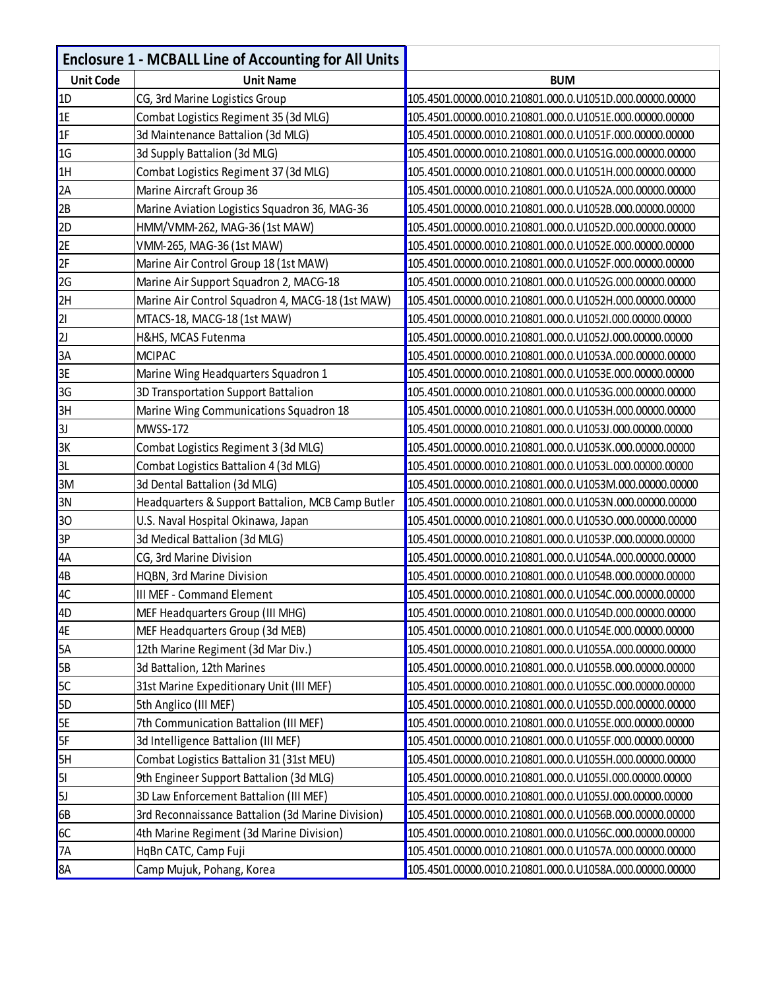|                  | <b>Enclosure 1 - MCBALL Line of Accounting for All Units</b> |                                                         |
|------------------|--------------------------------------------------------------|---------------------------------------------------------|
| <b>Unit Code</b> | <b>Unit Name</b>                                             | <b>BUM</b>                                              |
| 1D               | CG, 3rd Marine Logistics Group                               | 105.4501.00000.0010.210801.000.0.U1051D.000.00000.00000 |
| 1E               | Combat Logistics Regiment 35 (3d MLG)                        | 105.4501.00000.0010.210801.000.0.U1051E.000.00000.00000 |
| 1F               | 3d Maintenance Battalion (3d MLG)                            | 105.4501.00000.0010.210801.000.0.U1051F.000.00000.00000 |
| 1G               | 3d Supply Battalion (3d MLG)                                 | 105.4501.00000.0010.210801.000.0.U1051G.000.00000.00000 |
| 1H               | Combat Logistics Regiment 37 (3d MLG)                        | 105.4501.00000.0010.210801.000.0.U1051H.000.00000.00000 |
| 2A               | Marine Aircraft Group 36                                     | 105.4501.00000.0010.210801.000.0.U1052A.000.00000.00000 |
| 2B               | Marine Aviation Logistics Squadron 36, MAG-36                | 105.4501.00000.0010.210801.000.0.U1052B.000.00000.00000 |
| 2D               | HMM/VMM-262, MAG-36 (1st MAW)                                | 105.4501.00000.0010.210801.000.0.U1052D.000.00000.00000 |
| 2E               | VMM-265, MAG-36 (1st MAW)                                    | 105.4501.00000.0010.210801.000.0.U1052E.000.00000.00000 |
| 2F               | Marine Air Control Group 18 (1st MAW)                        | 105.4501.00000.0010.210801.000.0.U1052F.000.00000.00000 |
| 2G               | Marine Air Support Squadron 2, MACG-18                       | 105.4501.00000.0010.210801.000.0.U1052G.000.00000.00000 |
| 2H               | Marine Air Control Squadron 4, MACG-18 (1st MAW)             | 105.4501.00000.0010.210801.000.0.U1052H.000.00000.00000 |
| 2                | MTACS-18, MACG-18 (1st MAW)                                  | 105.4501.00000.0010.210801.000.0.U1052I.000.00000.00000 |
| 2                | H&HS, MCAS Futenma                                           | 105.4501.00000.0010.210801.000.0.U1052J.000.00000.00000 |
| 3A               | <b>MCIPAC</b>                                                | 105.4501.00000.0010.210801.000.0.U1053A.000.00000.00000 |
| 3E               | Marine Wing Headquarters Squadron 1                          | 105.4501.00000.0010.210801.000.0.U1053E.000.00000.00000 |
| 3G               | 3D Transportation Support Battalion                          | 105.4501.00000.0010.210801.000.0.U1053G.000.00000.00000 |
| 3H               | Marine Wing Communications Squadron 18                       | 105.4501.00000.0010.210801.000.0.U1053H.000.00000.00000 |
| 3J               | <b>MWSS-172</b>                                              | 105.4501.00000.0010.210801.000.0.U1053J.000.00000.00000 |
| 3K               | Combat Logistics Regiment 3 (3d MLG)                         | 105.4501.00000.0010.210801.000.0.U1053K.000.00000.00000 |
| 3L               | Combat Logistics Battalion 4 (3d MLG)                        | 105.4501.00000.0010.210801.000.0.U1053L.000.00000.00000 |
| 3M               | 3d Dental Battalion (3d MLG)                                 | 105.4501.00000.0010.210801.000.0.U1053M.000.00000.00000 |
| 3N               | Headquarters & Support Battalion, MCB Camp Butler            | 105.4501.00000.0010.210801.000.0.U1053N.000.00000.00000 |
| 30               | U.S. Naval Hospital Okinawa, Japan                           | 105.4501.00000.0010.210801.000.0.U1053O.000.00000.00000 |
| 3P               | 3d Medical Battalion (3d MLG)                                | 105.4501.00000.0010.210801.000.0.U1053P.000.00000.00000 |
| 4A               | CG, 3rd Marine Division                                      | 105.4501.00000.0010.210801.000.0.U1054A.000.00000.00000 |
| 4B               | HQBN, 3rd Marine Division                                    | 105.4501.00000.0010.210801.000.0.U1054B.000.00000.00000 |
| 4C               | <b>III MEF - Command Element</b>                             | 105.4501.00000.0010.210801.000.0.U1054C.000.00000.00000 |
| 4D               | MEF Headquarters Group (III MHG)                             | 105.4501.00000.0010.210801.000.0.U1054D.000.00000.00000 |
| 4E               | MEF Headquarters Group (3d MEB)                              | 105.4501.00000.0010.210801.000.0.U1054E.000.00000.00000 |
| 5A               | 12th Marine Regiment (3d Mar Div.)                           | 105.4501.00000.0010.210801.000.0.U1055A.000.00000.00000 |
| <b>5B</b>        | 3d Battalion, 12th Marines                                   | 105.4501.00000.0010.210801.000.0.U1055B.000.00000.00000 |
| <b>5C</b>        | 31st Marine Expeditionary Unit (III MEF)                     | 105.4501.00000.0010.210801.000.0.U1055C.000.00000.00000 |
| 5D               | 5th Anglico (III MEF)                                        | 105.4501.00000.0010.210801.000.0.U1055D.000.00000.00000 |
| <b>5E</b>        | 7th Communication Battalion (III MEF)                        | 105.4501.00000.0010.210801.000.0.U1055E.000.00000.00000 |
| 5F               | 3d Intelligence Battalion (III MEF)                          | 105.4501.00000.0010.210801.000.0.U1055F.000.00000.00000 |
| 5H               | Combat Logistics Battalion 31 (31st MEU)                     | 105.4501.00000.0010.210801.000.0.U1055H.000.00000.00000 |
| 51               | 9th Engineer Support Battalion (3d MLG)                      | 105.4501.00000.0010.210801.000.0.U1055I.000.00000.00000 |
| <b>5J</b>        | 3D Law Enforcement Battalion (III MEF)                       | 105.4501.00000.0010.210801.000.0.U1055J.000.00000.00000 |
| 6B               | 3rd Reconnaissance Battalion (3d Marine Division)            | 105.4501.00000.0010.210801.000.0.U1056B.000.00000.00000 |
| GC               | 4th Marine Regiment (3d Marine Division)                     | 105.4501.00000.0010.210801.000.0.U1056C.000.00000.00000 |
| <b>7A</b>        | HqBn CATC, Camp Fuji                                         | 105.4501.00000.0010.210801.000.0.U1057A.000.00000.00000 |
| 8A               | Camp Mujuk, Pohang, Korea                                    | 105.4501.00000.0010.210801.000.0.U1058A.000.00000.00000 |